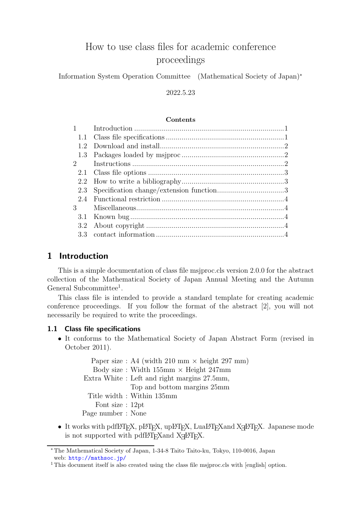# How to use class files for academic conference proceedings

Information System Operation Committee (Mathematical Society of Japan)<sup>∗</sup>

# 2022.5.23

#### **Contents**

| $1 \qquad \qquad$ |  |
|-------------------|--|
|                   |  |
| 1.2               |  |
|                   |  |
| $\overline{2}$    |  |
|                   |  |
| 2.2               |  |
| 2.3               |  |
|                   |  |
| $\mathcal{S}$     |  |
| 3.1               |  |
| 3.2               |  |
|                   |  |

# <span id="page-0-0"></span>1 Introduction

This is a simple documentation of class file msjproc.cls version 2.0.0 for the abstract collection of the Mathematical Society of Japan Annual Meeting and the Autumn General Subcommittee<sup>[1](#page-0-2)</sup>.

This class file is intended to provide a standard template for creating academic conference proceedings. If you follow the format of the abstract [2], you will not necessarily be required to write the proceedings.

## <span id="page-0-1"></span>1.1 Class file specifications

• It conforms to the Mathematical Society of Japan Abstract Form (revised in October 2011).

Paper size : A4 (width 210 mm  $\times$  height 297 mm) Body size : Width  $155 \text{mm} \times$  Height  $247 \text{mm}$ Extra White : Left and right margins 27.5mm, Top and bottom margins 25mm Title width : Within 135mm Font size : 12pt Page number : None

 $\bullet~$  It works with pdfI4T<sub>E</sub>X, pI4T<sub>E</sub>X, upI4T<sub>E</sub>X, LuaI4T<sub>E</sub>X<br>and X<sub>I</sub>I4T<sub>E</sub>X. Japanese mode is not supported with pdfl<sup>2</sup>T<sub>E</sub>X<br>and X<sub>H</sub>P<sub>TE</sub>X.

<sup>∗</sup> The Mathematical Society of Japan, 1-34-8 Taito Taito-ku, Tokyo, 110-0016, Japan web: <http://mathsoc.jp/>

<span id="page-0-2"></span><sup>&</sup>lt;sup>1</sup> This document itself is also created using the class file msiproc.cls with [english] option.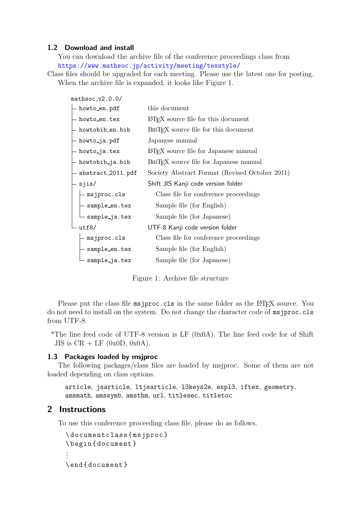## <span id="page-1-0"></span>1.2 Download and install

You can download the archive file of the conference proceedings class from <https://www.mathsoc.jp/activity/meeting/texstyle/>

Class files should be upgraded for each meeting. Please use the latest one for posting. When the archive file is expanded, it looks like Figure 1.

| $math>mathsoc_v2.0.0/$                                                                                                                                                                                                                                                                                                                                                                                                                        |                                                     |  |
|-----------------------------------------------------------------------------------------------------------------------------------------------------------------------------------------------------------------------------------------------------------------------------------------------------------------------------------------------------------------------------------------------------------------------------------------------|-----------------------------------------------------|--|
| howto_en.pdf                                                                                                                                                                                                                                                                                                                                                                                                                                  | this document                                       |  |
| howto_en.tex                                                                                                                                                                                                                                                                                                                                                                                                                                  | LAT <sub>F</sub> X source file for this document    |  |
| - howtobib_en.bib                                                                                                                                                                                                                                                                                                                                                                                                                             | BIBT <sub>F</sub> X source file for this document   |  |
| - howto_ja.pdf                                                                                                                                                                                                                                                                                                                                                                                                                                | Japanese manual                                     |  |
| - howto_ja.tex                                                                                                                                                                                                                                                                                                                                                                                                                                | LAT <sub>EX</sub> source file for Japanese manual   |  |
| — howtobib_ja.bib                                                                                                                                                                                                                                                                                                                                                                                                                             | BIBT <sub>F</sub> X source file for Japanese manual |  |
| - abstract_2011.pdf                                                                                                                                                                                                                                                                                                                                                                                                                           | Society Abstract Format (Revised October 2011)      |  |
| sjis/                                                                                                                                                                                                                                                                                                                                                                                                                                         | Shift JIS Kanji code version folder                 |  |
| - msjproc.cls                                                                                                                                                                                                                                                                                                                                                                                                                                 | Class file for conference proceedings               |  |
| - sample_en.tex                                                                                                                                                                                                                                                                                                                                                                                                                               | Sample file (for English)                           |  |
| $\mathrel{\mathop{\rule{.15pt}{.}}\mathrel{\rule{.15pt}{.15pt}}}\mathrel{\mathop{\rule{.15pt}{.15pt}}\mathrel{\rule{.15pt}{.15pt}}}\mathord{\mathop{\rule{.15pt}{.15pt}}\mathord{\mathop{\rule{.15pt}{.15pt}}\mathord{\mathop{\rule{.15pt}{.15pt}}\mathord{\mathop{\rule{.15pt}{.15pt}}\mathord{\mathop{\rule{.15pt}{.15pt}}\mathord{\mathop{\rule{.15pt}{.15pt}}\mathord{\mathop{\rule{.15pt}{.15pt}}\mathord{\mathop{\rule{.15pt}{.15pt}}\$ | Sample file (for Japanese)                          |  |
| utf8/                                                                                                                                                                                                                                                                                                                                                                                                                                         | UTF-8 Kanji code version folder                     |  |
| msjproc.cls                                                                                                                                                                                                                                                                                                                                                                                                                                   | Class file for conference proceedings               |  |
| sample_en.tex                                                                                                                                                                                                                                                                                                                                                                                                                                 | Sample file (for English)                           |  |
| sample_ja.tex                                                                                                                                                                                                                                                                                                                                                                                                                                 | Sample file (for Japanese)                          |  |

Figure 1: Archive file structure

Please put the class file msjproc.cls in the same folder as the LATEX source. You do not need to install on the system. Do not change the character code of msjproc.cls from UTF-8.

\*The line feed code of UTF-8 version is LF (0x0A). The line feed code for of Shift JIS is  $CR + LF$  (0x0D, 0x0A).

#### <span id="page-1-1"></span>1.3 Packages loaded by msjproc

The following packages/class files are loaded by msjproc. Some of them are not loaded depending on class options.

```
article, jsarticle, ltjsarticle, l3keys2e, expl3, iftex, geometry,
amsmath, amssymb, amsthm, url, titlesec, titletoc
```
# <span id="page-1-2"></span>2 Instructions

To use this conference proceeding class file, please do as follows.

```
\ documentclass { msjproc }
\ begin { document }
...
\ end { document }
```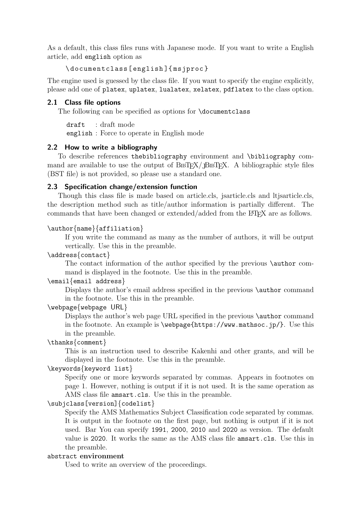As a default, this class files runs with Japanese mode. If you want to write a English article, add english option as

\ documentclass [ english ]{ msjproc }

The engine used is guessed by the class file. If you want to specify the engine explicitly, please add one of platex, uplatex, lualatex, xelatex, pdflatex to the class option.

## <span id="page-2-0"></span>2.1 Class file options

The following can be specified as options for \documentclass

draft : draft mode english : Force to operate in English mode

#### <span id="page-2-1"></span>2.2 How to write a bibliography

To describe references thebibliography environment and \bibliography command are available to use the output of BIBTEX/JBIBTEX. A bibliographic style files (BST file) is not provided, so please use a standard one.

#### <span id="page-2-2"></span>2.3 Specification change/extension function

Though this class file is made based on article.cls, jsarticle.cls and ltjsarticle.cls, the description method such as title/author information is partially different. The commands that have been changed or extended/added from the LATEX are as follows.

#### \author{name}{affiliation}

If you write the command as many as the number of authors, it will be output vertically. Use this in the preamble.

#### \address{contact}

The contact information of the author specified by the previous \author command is displayed in the footnote. Use this in the preamble.

## \email{email address}

Displays the author's email address specified in the previous **\author** command in the footnote. Use this in the preamble.

# \webpage{webpage URL}

Displays the author's web page URL specified in the previous **\author** command in the footnote. An example is \webpage{https://www.mathsoc.jp/}. Use this in the preamble.

# \thanks{comment}

This is an instruction used to describe Kakenhi and other grants, and will be displayed in the footnote. Use this in the preamble.

# \keywords{keyword list}

Specify one or more keywords separated by commas. Appears in footnotes on page 1. However, nothing is output if it is not used. It is the same operation as AMS class file amsart.cls. Use this in the preamble.

#### \subjclass[version]{codelist}

Specify the AMS Mathematics Subject Classification code separated by commas. It is output in the footnote on the first page, but nothing is output if it is not used. Bar You can specify 1991, 2000, 2010 and 2020 as version. The default value is 2020. It works the same as the AMS class file amsart.cls. Use this in the preamble.

#### abstract environment

Used to write an overview of the proceedings.